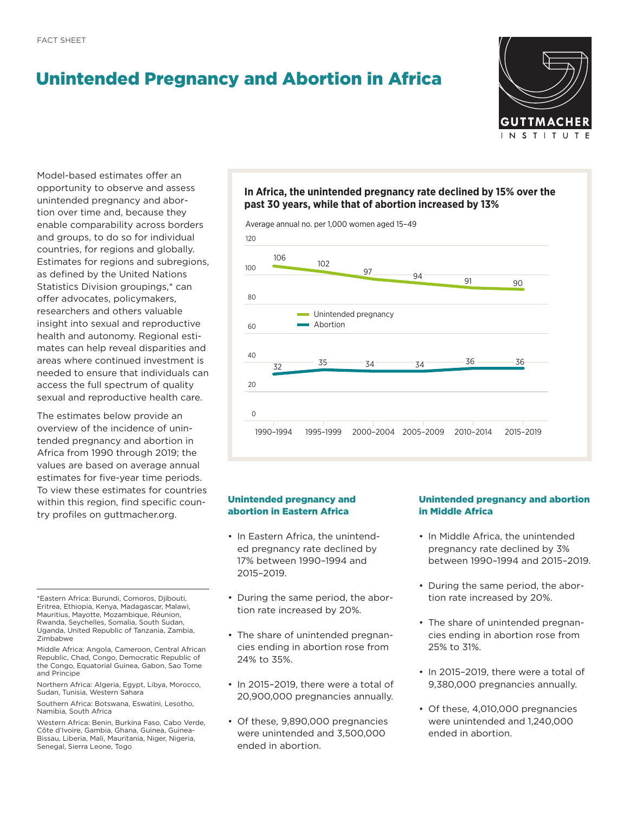# Unintended Pregnancy and Abortion in Africa



Model-based estimates offer an opportunity to observe and assess unintended pregnancy and abortion over time and, because they enable comparability across borders and groups, to do so for individual countries, for regions and globally. Estimates for regions and subregions, as defined by the United Nations Statistics Division groupings,\* can offer advocates, policymakers, researchers and others valuable insight into sexual and reproductive health and autonomy. Regional estimates can help reveal disparities and areas where continued investment is needed to ensure that individuals can access the full spectrum of quality sexual and reproductive health care.

The estimates below provide an overview of the incidence of unintended pregnancy and abortion in Africa from 1990 through 2019; the values are based on average annual estimates for five-year time periods. To view these estimates for countries within this region, find specific country profiles on [guttmacher.org.](http://guttmacher.org)

\*Eastern Africa: Burundi, Comoros, Djibouti, Eritrea, Ethiopia, Kenya, Madagascar, Malawi, Mauritius, Mayotte, Mozambique, Réunion, Rwanda, Seychelles, Somalia, South Sudan, Uganda, United Republic of Tanzania, Zambia, Zimbabwe

Middle Africa: Angola, Cameroon, Central African Republic, Chad, Congo, Democratic Republic of the Congo, Equatorial Guinea, Gabon, Sao Tome and Principe

Northern Africa: Algeria, Egypt, Libya, Morocco, Sudan, Tunisia, Western Sahara

Southern Africa: Botswana, Eswatini, Lesotho, Namibia, South Africa

Western Africa: Benin, Burkina Faso, Cabo Verde, Côte d'Ivoire, Gambia, Ghana, Guinea, Guinea-Bissau, Liberia, Mali, Mauritania, Niger, Nigeria, Senegal, Sierra Leone, Togo

## **In Africa, the unintended pregnancy rate declined by 15% over the past 30 years, while that of abortion increased by 13%**



## Unintended pregnancy and abortion in Eastern Africa

- In Eastern Africa, the unintended pregnancy rate declined by 17% between 1990–1994 and 2015–2019.
- During the same period, the abortion rate increased by 20%.
- The share of unintended pregnancies ending in abortion rose from 24% to 35%.
- In 2015–2019, there were a total of 20,900,000 pregnancies annually.
- Of these, 9,890,000 pregnancies were unintended and 3,500,000 ended in abortion.

## Unintended pregnancy and abortion in Middle Africa

- In Middle Africa, the unintended pregnancy rate declined by 3% between 1990–1994 and 2015–2019.
- During the same period, the abortion rate increased by 20%.
- The share of unintended pregnancies ending in abortion rose from 25% to 31%.
- In 2015–2019, there were a total of 9,380,000 pregnancies annually.
- Of these, 4,010,000 pregnancies were unintended and 1,240,000 ended in abortion.